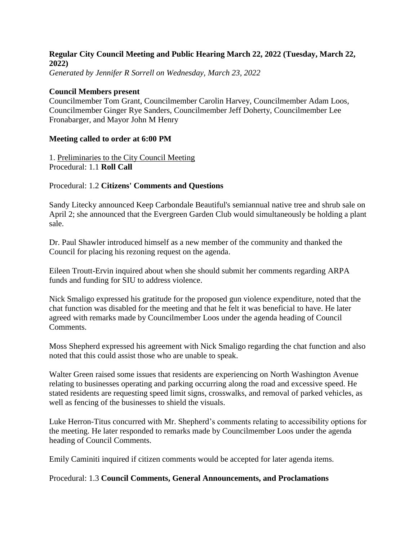## **Regular City Council Meeting and Public Hearing March 22, 2022 (Tuesday, March 22, 2022)**

*Generated by Jennifer R Sorrell on Wednesday, March 23, 2022*

### **Council Members present**

Councilmember Tom Grant, Councilmember Carolin Harvey, Councilmember Adam Loos, Councilmember Ginger Rye Sanders, Councilmember Jeff Doherty, Councilmember Lee Fronabarger, and Mayor John M Henry

### **Meeting called to order at 6:00 PM**

1. Preliminaries to the City Council Meeting Procedural: 1.1 **Roll Call**

## Procedural: 1.2 **Citizens' Comments and Questions**

Sandy Litecky announced Keep Carbondale Beautiful's semiannual native tree and shrub sale on April 2; she announced that the Evergreen Garden Club would simultaneously be holding a plant sale.

Dr. Paul Shawler introduced himself as a new member of the community and thanked the Council for placing his rezoning request on the agenda.

Eileen Troutt-Ervin inquired about when she should submit her comments regarding ARPA funds and funding for SIU to address violence.

Nick Smaligo expressed his gratitude for the proposed gun violence expenditure, noted that the chat function was disabled for the meeting and that he felt it was beneficial to have. He later agreed with remarks made by Councilmember Loos under the agenda heading of Council Comments.

Moss Shepherd expressed his agreement with Nick Smaligo regarding the chat function and also noted that this could assist those who are unable to speak.

Walter Green raised some issues that residents are experiencing on North Washington Avenue relating to businesses operating and parking occurring along the road and excessive speed. He stated residents are requesting speed limit signs, crosswalks, and removal of parked vehicles, as well as fencing of the businesses to shield the visuals.

Luke Herron-Titus concurred with Mr. Shepherd's comments relating to accessibility options for the meeting. He later responded to remarks made by Councilmember Loos under the agenda heading of Council Comments.

Emily Caminiti inquired if citizen comments would be accepted for later agenda items.

#### Procedural: 1.3 **Council Comments, General Announcements, and Proclamations**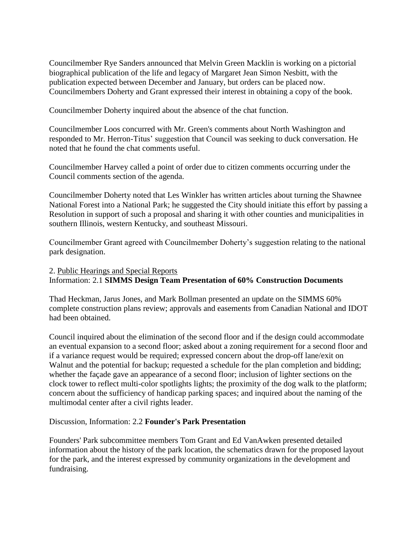Councilmember Rye Sanders announced that Melvin Green Macklin is working on a pictorial biographical publication of the life and legacy of Margaret Jean Simon Nesbitt, with the publication expected between December and January, but orders can be placed now. Councilmembers Doherty and Grant expressed their interest in obtaining a copy of the book.

Councilmember Doherty inquired about the absence of the chat function.

Councilmember Loos concurred with Mr. Green's comments about North Washington and responded to Mr. Herron-Titus' suggestion that Council was seeking to duck conversation. He noted that he found the chat comments useful.

Councilmember Harvey called a point of order due to citizen comments occurring under the Council comments section of the agenda.

Councilmember Doherty noted that Les Winkler has written articles about turning the Shawnee National Forest into a National Park; he suggested the City should initiate this effort by passing a Resolution in support of such a proposal and sharing it with other counties and municipalities in southern Illinois, western Kentucky, and southeast Missouri.

Councilmember Grant agreed with Councilmember Doherty's suggestion relating to the national park designation.

## 2. Public Hearings and Special Reports Information: 2.1 **SIMMS Design Team Presentation of 60% Construction Documents**

Thad Heckman, Jarus Jones, and Mark Bollman presented an update on the SIMMS 60% complete construction plans review; approvals and easements from Canadian National and IDOT had been obtained.

Council inquired about the elimination of the second floor and if the design could accommodate an eventual expansion to a second floor; asked about a zoning requirement for a second floor and if a variance request would be required; expressed concern about the drop-off lane/exit on Walnut and the potential for backup; requested a schedule for the plan completion and bidding; whether the façade gave an appearance of a second floor; inclusion of lighter sections on the clock tower to reflect multi-color spotlights lights; the proximity of the dog walk to the platform; concern about the sufficiency of handicap parking spaces; and inquired about the naming of the multimodal center after a civil rights leader.

Discussion, Information: 2.2 **Founder's Park Presentation**

Founders' Park subcommittee members Tom Grant and Ed VanAwken presented detailed information about the history of the park location, the schematics drawn for the proposed layout for the park, and the interest expressed by community organizations in the development and fundraising.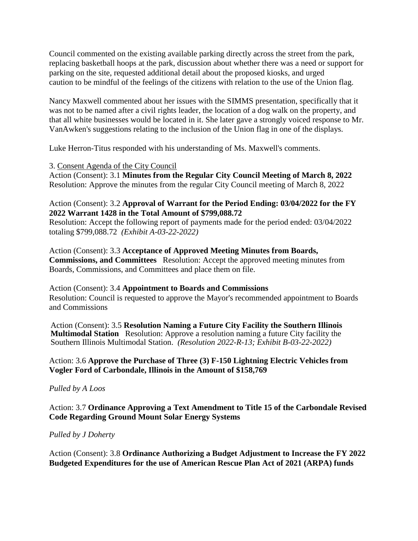Council commented on the existing available parking directly across the street from the park, replacing basketball hoops at the park, discussion about whether there was a need or support for parking on the site, requested additional detail about the proposed kiosks, and urged caution to be mindful of the feelings of the citizens with relation to the use of the Union flag.

Nancy Maxwell commented about her issues with the SIMMS presentation, specifically that it was not to be named after a civil rights leader, the location of a dog walk on the property, and that all white businesses would be located in it. She later gave a strongly voiced response to Mr. VanAwken's suggestions relating to the inclusion of the Union flag in one of the displays.

Luke Herron-Titus responded with his understanding of Ms. Maxwell's comments.

#### 3. Consent Agenda of the City Council

Action (Consent): 3.1 **Minutes from the Regular City Council Meeting of March 8, 2022** Resolution: Approve the minutes from the regular City Council meeting of March 8, 2022

### Action (Consent): 3.2 **Approval of Warrant for the Period Ending: 03/04/2022 for the FY 2022 Warrant 1428 in the Total Amount of \$799,088.72**

Resolution: Accept the following report of payments made for the period ended: 03/04/2022 totaling \$799,088.72 *(Exhibit A-03-22-2022)*

### Action (Consent): 3.3 **Acceptance of Approved Meeting Minutes from Boards, Commissions, and Committees** Resolution: Accept the approved meeting minutes from Boards, Commissions, and Committees and place them on file.

Action (Consent): 3.4 **Appointment to Boards and Commissions** Resolution: Council is requested to approve the Mayor's recommended appointment to Boards and Commissions

Action (Consent): 3.5 **Resolution Naming a Future City Facility the Southern Illinois Multimodal Station** Resolution: Approve a resolution naming a future City facility the Southern Illinois Multimodal Station. *(Resolution 2022-R-13; Exhibit B-03-22-2022)*

## Action: 3.6 **Approve the Purchase of Three (3) F-150 Lightning Electric Vehicles from Vogler Ford of Carbondale, Illinois in the Amount of \$158,769**

#### *Pulled by A Loos*

Action: 3.7 **Ordinance Approving a Text Amendment to Title 15 of the Carbondale Revised Code Regarding Ground Mount Solar Energy Systems**

#### *Pulled by J Doherty*

Action (Consent): 3.8 **Ordinance Authorizing a Budget Adjustment to Increase the FY 2022 Budgeted Expenditures for the use of American Rescue Plan Act of 2021 (ARPA) funds**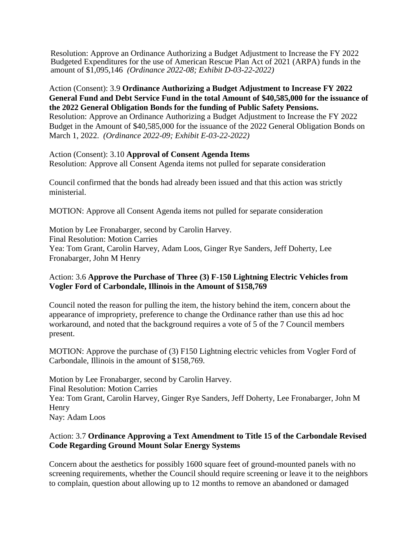Resolution: Approve an Ordinance Authorizing a Budget Adjustment to Increase the FY 2022 Budgeted Expenditures for the use of American Rescue Plan Act of 2021 (ARPA) funds in the amount of \$1,095,146 *(Ordinance 2022-08; Exhibit D-03-22-2022)*

Action (Consent): 3.9 **Ordinance Authorizing a Budget Adjustment to Increase FY 2022 General Fund and Debt Service Fund in the total Amount of \$40,585,000 for the issuance of the 2022 General Obligation Bonds for the funding of Public Safety Pensions.** Resolution: Approve an Ordinance Authorizing a Budget Adjustment to Increase the FY 2022 Budget in the Amount of \$40,585,000 for the issuance of the 2022 General Obligation Bonds on

March 1, 2022. *(Ordinance 2022-09; Exhibit E-03-22-2022)*

### Action (Consent): 3.10 **Approval of Consent Agenda Items**

Resolution: Approve all Consent Agenda items not pulled for separate consideration

Council confirmed that the bonds had already been issued and that this action was strictly ministerial.

MOTION: Approve all Consent Agenda items not pulled for separate consideration

Motion by Lee Fronabarger, second by Carolin Harvey. Final Resolution: Motion Carries Yea: Tom Grant, Carolin Harvey, Adam Loos, Ginger Rye Sanders, Jeff Doherty, Lee Fronabarger, John M Henry

## Action: 3.6 **Approve the Purchase of Three (3) F-150 Lightning Electric Vehicles from Vogler Ford of Carbondale, Illinois in the Amount of \$158,769**

Council noted the reason for pulling the item, the history behind the item, concern about the appearance of impropriety, preference to change the Ordinance rather than use this ad hoc workaround, and noted that the background requires a vote of 5 of the 7 Council members present.

MOTION: Approve the purchase of (3) F150 Lightning electric vehicles from Vogler Ford of Carbondale, Illinois in the amount of \$158,769.

Motion by Lee Fronabarger, second by Carolin Harvey. Final Resolution: Motion Carries Yea: Tom Grant, Carolin Harvey, Ginger Rye Sanders, Jeff Doherty, Lee Fronabarger, John M Henry Nay: Adam Loos

# Action: 3.7 **Ordinance Approving a Text Amendment to Title 15 of the Carbondale Revised Code Regarding Ground Mount Solar Energy Systems**

Concern about the aesthetics for possibly 1600 square feet of ground-mounted panels with no screening requirements, whether the Council should require screening or leave it to the neighbors to complain, question about allowing up to 12 months to remove an abandoned or damaged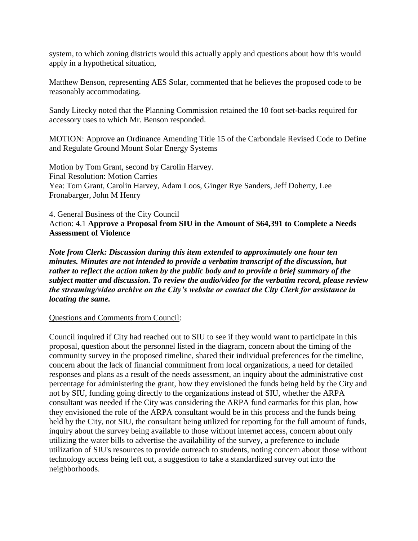system, to which zoning districts would this actually apply and questions about how this would apply in a hypothetical situation,

Matthew Benson, representing AES Solar, commented that he believes the proposed code to be reasonably accommodating.

Sandy Litecky noted that the Planning Commission retained the 10 foot set-backs required for accessory uses to which Mr. Benson responded.

MOTION: Approve an Ordinance Amending Title 15 of the Carbondale Revised Code to Define and Regulate Ground Mount Solar Energy Systems

Motion by Tom Grant, second by Carolin Harvey. Final Resolution: Motion Carries Yea: Tom Grant, Carolin Harvey, Adam Loos, Ginger Rye Sanders, Jeff Doherty, Lee Fronabarger, John M Henry

4. General Business of the City Council Action: 4.1 **Approve a Proposal from SIU in the Amount of \$64,391 to Complete a Needs Assessment of Violence**

*Note from Clerk: Discussion during this item extended to approximately one hour ten minutes. Minutes are not intended to provide a verbatim transcript of the discussion, but rather to reflect the action taken by the public body and to provide a brief summary of the subject matter and discussion. To review the audio/video for the verbatim record, please review the streaming/video archive on the City's website or contact the City Clerk for assistance in locating the same.* 

Questions and Comments from Council:

Council inquired if City had reached out to SIU to see if they would want to participate in this proposal, question about the personnel listed in the diagram, concern about the timing of the community survey in the proposed timeline, shared their individual preferences for the timeline, concern about the lack of financial commitment from local organizations, a need for detailed responses and plans as a result of the needs assessment, an inquiry about the administrative cost percentage for administering the grant, how they envisioned the funds being held by the City and not by SIU, funding going directly to the organizations instead of SIU, whether the ARPA consultant was needed if the City was considering the ARPA fund earmarks for this plan, how they envisioned the role of the ARPA consultant would be in this process and the funds being held by the City, not SIU, the consultant being utilized for reporting for the full amount of funds, inquiry about the survey being available to those without internet access, concern about only utilizing the water bills to advertise the availability of the survey, a preference to include utilization of SIU's resources to provide outreach to students, noting concern about those without technology access being left out, a suggestion to take a standardized survey out into the neighborhoods.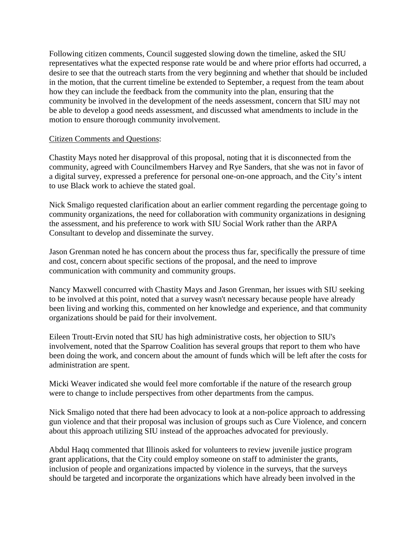Following citizen comments, Council suggested slowing down the timeline, asked the SIU representatives what the expected response rate would be and where prior efforts had occurred, a desire to see that the outreach starts from the very beginning and whether that should be included in the motion, that the current timeline be extended to September, a request from the team about how they can include the feedback from the community into the plan, ensuring that the community be involved in the development of the needs assessment, concern that SIU may not be able to develop a good needs assessment, and discussed what amendments to include in the motion to ensure thorough community involvement.

### Citizen Comments and Questions:

Chastity Mays noted her disapproval of this proposal, noting that it is disconnected from the community, agreed with Councilmembers Harvey and Rye Sanders, that she was not in favor of a digital survey, expressed a preference for personal one-on-one approach, and the City's intent to use Black work to achieve the stated goal.

Nick Smaligo requested clarification about an earlier comment regarding the percentage going to community organizations, the need for collaboration with community organizations in designing the assessment, and his preference to work with SIU Social Work rather than the ARPA Consultant to develop and disseminate the survey.

Jason Grenman noted he has concern about the process thus far, specifically the pressure of time and cost, concern about specific sections of the proposal, and the need to improve communication with community and community groups.

Nancy Maxwell concurred with Chastity Mays and Jason Grenman, her issues with SIU seeking to be involved at this point, noted that a survey wasn't necessary because people have already been living and working this, commented on her knowledge and experience, and that community organizations should be paid for their involvement.

Eileen Troutt-Ervin noted that SIU has high administrative costs, her objection to SIU's involvement, noted that the Sparrow Coalition has several groups that report to them who have been doing the work, and concern about the amount of funds which will be left after the costs for administration are spent.

Micki Weaver indicated she would feel more comfortable if the nature of the research group were to change to include perspectives from other departments from the campus.

Nick Smaligo noted that there had been advocacy to look at a non-police approach to addressing gun violence and that their proposal was inclusion of groups such as Cure Violence, and concern about this approach utilizing SIU instead of the approaches advocated for previously.

Abdul Haqq commented that Illinois asked for volunteers to review juvenile justice program grant applications, that the City could employ someone on staff to administer the grants, inclusion of people and organizations impacted by violence in the surveys, that the surveys should be targeted and incorporate the organizations which have already been involved in the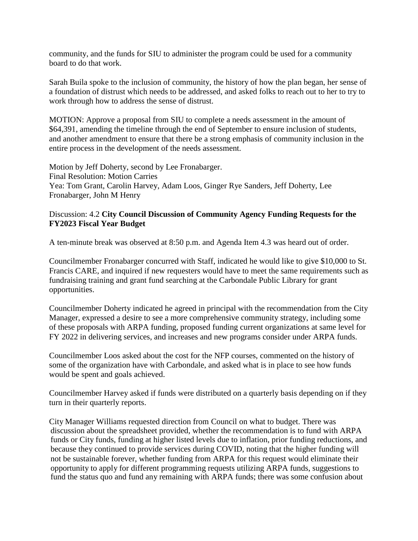community, and the funds for SIU to administer the program could be used for a community board to do that work.

Sarah Buila spoke to the inclusion of community, the history of how the plan began, her sense of a foundation of distrust which needs to be addressed, and asked folks to reach out to her to try to work through how to address the sense of distrust.

MOTION: Approve a proposal from SIU to complete a needs assessment in the amount of \$64,391, amending the timeline through the end of September to ensure inclusion of students, and another amendment to ensure that there be a strong emphasis of community inclusion in the entire process in the development of the needs assessment.

Motion by Jeff Doherty, second by Lee Fronabarger. Final Resolution: Motion Carries Yea: Tom Grant, Carolin Harvey, Adam Loos, Ginger Rye Sanders, Jeff Doherty, Lee Fronabarger, John M Henry

### Discussion: 4.2 **City Council Discussion of Community Agency Funding Requests for the FY2023 Fiscal Year Budget**

A ten-minute break was observed at 8:50 p.m. and Agenda Item 4.3 was heard out of order.

Councilmember Fronabarger concurred with Staff, indicated he would like to give \$10,000 to St. Francis CARE, and inquired if new requesters would have to meet the same requirements such as fundraising training and grant fund searching at the Carbondale Public Library for grant opportunities.

Councilmember Doherty indicated he agreed in principal with the recommendation from the City Manager, expressed a desire to see a more comprehensive community strategy, including some of these proposals with ARPA funding, proposed funding current organizations at same level for FY 2022 in delivering services, and increases and new programs consider under ARPA funds.

Councilmember Loos asked about the cost for the NFP courses, commented on the history of some of the organization have with Carbondale, and asked what is in place to see how funds would be spent and goals achieved.

Councilmember Harvey asked if funds were distributed on a quarterly basis depending on if they turn in their quarterly reports.

City Manager Williams requested direction from Council on what to budget. There was discussion about the spreadsheet provided, whether the recommendation is to fund with ARPA funds or City funds, funding at higher listed levels due to inflation, prior funding reductions, and because they continued to provide services during COVID, noting that the higher funding will not be sustainable forever, whether funding from ARPA for this request would eliminate their opportunity to apply for different programming requests utilizing ARPA funds, suggestions to fund the status quo and fund any remaining with ARPA funds; there was some confusion about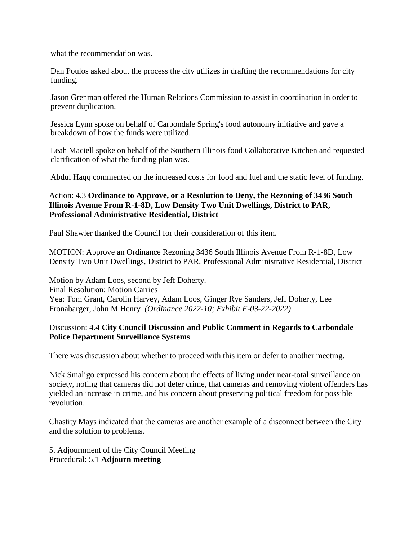what the recommendation was.

Dan Poulos asked about the process the city utilizes in drafting the recommendations for city funding.

Jason Grenman offered the Human Relations Commission to assist in coordination in order to prevent duplication.

Jessica Lynn spoke on behalf of Carbondale Spring's food autonomy initiative and gave a breakdown of how the funds were utilized.

Leah Maciell spoke on behalf of the Southern Illinois food Collaborative Kitchen and requested clarification of what the funding plan was.

Abdul Haqq commented on the increased costs for food and fuel and the static level of funding.

Action: 4.3 **Ordinance to Approve, or a Resolution to Deny, the Rezoning of 3436 South Illinois Avenue From R-1-8D, Low Density Two Unit Dwellings, District to PAR, Professional Administrative Residential, District**

Paul Shawler thanked the Council for their consideration of this item.

MOTION: Approve an Ordinance Rezoning 3436 South Illinois Avenue From R-1-8D, Low Density Two Unit Dwellings, District to PAR, Professional Administrative Residential, District

Motion by Adam Loos, second by Jeff Doherty. Final Resolution: Motion Carries Yea: Tom Grant, Carolin Harvey, Adam Loos, Ginger Rye Sanders, Jeff Doherty, Lee Fronabarger, John M Henry *(Ordinance 2022-10; Exhibit F-03-22-2022)*

## Discussion: 4.4 **City Council Discussion and Public Comment in Regards to Carbondale Police Department Surveillance Systems**

There was discussion about whether to proceed with this item or defer to another meeting.

Nick Smaligo expressed his concern about the effects of living under near-total surveillance on society, noting that cameras did not deter crime, that cameras and removing violent offenders has yielded an increase in crime, and his concern about preserving political freedom for possible revolution.

Chastity Mays indicated that the cameras are another example of a disconnect between the City and the solution to problems.

5. Adjournment of the City Council Meeting Procedural: 5.1 **Adjourn meeting**